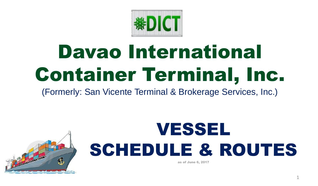

## Davao International Container Terminal, Inc.

(Formerly: San Vicente Terminal & Brokerage Services, Inc.)

## VESSEL SCHEDULE & ROUTES

as of June 6, 2017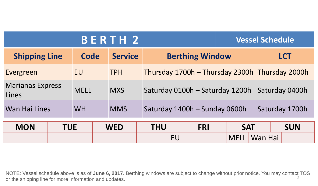| <b>BERTH 2</b><br><b>Vessel Schedule</b> |            |             |                |            |                        |                                                |  |            |             |            |                |  |  |
|------------------------------------------|------------|-------------|----------------|------------|------------------------|------------------------------------------------|--|------------|-------------|------------|----------------|--|--|
| <b>Shipping Line</b>                     | Code       |             | <b>Service</b> |            | <b>Berthing Window</b> |                                                |  |            |             | <b>LCT</b> |                |  |  |
| Evergreen                                |            | <b>EU</b>   |                | <b>TPH</b> |                        | Thursday 1700h - Thursday 2300h Thursday 2000h |  |            |             |            |                |  |  |
| <b>Marianas Express</b><br>Lines         |            | <b>MELL</b> |                | <b>MXS</b> |                        | Saturday 0100h – Saturday 1200h                |  |            |             |            | Saturday 0400h |  |  |
| <b>Wan Hai Lines</b>                     |            | <b>WH</b>   |                | <b>MMS</b> |                        | Saturday 1400h - Sunday 0600h                  |  |            |             |            | Saturday 1700h |  |  |
| <b>MON</b>                               | <b>TUE</b> |             | <b>WED</b>     | <b>THU</b> |                        | <b>FRI</b>                                     |  | <b>SAT</b> |             |            | <b>SUN</b>     |  |  |
|                                          |            |             |                |            |                        | <b>EU</b>                                      |  |            | <b>MELL</b> | Wan Hai    |                |  |  |

2 NOTE: Vessel schedule above is as of **June 6, 2017**. Berthing windows are subject to change without prior notice. You may contact TOS or the shipping line for more information and updates.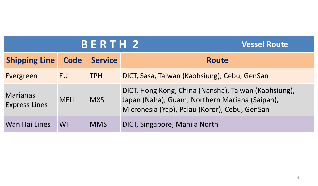|                                         | <b>BERTH 2</b> | <b>Vessel Route</b> |                                                                                                                                                         |              |  |  |  |  |
|-----------------------------------------|----------------|---------------------|---------------------------------------------------------------------------------------------------------------------------------------------------------|--------------|--|--|--|--|
| <b>Shipping Line</b>                    | Code           | <b>Service</b>      |                                                                                                                                                         | <b>Route</b> |  |  |  |  |
| Evergreen                               | EU             | <b>TPH</b>          | DICT, Sasa, Taiwan (Kaohsiung), Cebu, GenSan                                                                                                            |              |  |  |  |  |
| <b>Marianas</b><br><b>Express Lines</b> | <b>MELL</b>    | <b>MXS</b>          | DICT, Hong Kong, China (Nansha), Taiwan (Kaohsiung),<br>Japan (Naha), Guam, Northern Mariana (Saipan),<br>Micronesia (Yap), Palau (Koror), Cebu, GenSan |              |  |  |  |  |
| Wan Hai Lines                           | <b>WH</b>      | <b>MMS</b>          | DICT, Singapore, Manila North                                                                                                                           |              |  |  |  |  |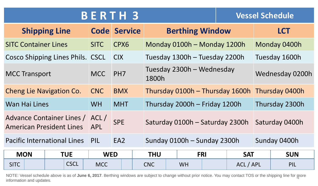| <b>BERTH</b> 3 |  |  |  |
|----------------|--|--|--|
|                |  |  |  |

**B B**  $\blacksquare$  **2 Vessel Schedule** 

|                                                                    | <b>Shipping Line</b>                    |             | <b>Code Service</b> |                                 | <b>Berthing Window</b>        |            |                 | <b>LCT</b>     |  |
|--------------------------------------------------------------------|-----------------------------------------|-------------|---------------------|---------------------------------|-------------------------------|------------|-----------------|----------------|--|
| <b>SITC Container Lines</b>                                        |                                         | <b>SITC</b> | CPX6                |                                 | Monday 0100h – Monday 1200h   |            |                 | Monday 0400h   |  |
|                                                                    | <b>Cosco Shipping Lines Phils. CSCL</b> |             | <b>CIX</b>          |                                 | Tuesday 1300h - Tuesday 2200h |            | Tuesday 1600h   |                |  |
| MCC<br><b>MCC Transport</b>                                        |                                         |             | PH <sub>7</sub>     | 1800h                           | Tuesday 2300h – Wednesday     |            | Wednesday 0200h |                |  |
| <b>Cheng Lie Navigation Co.</b>                                    |                                         | <b>CNC</b>  | <b>BMX</b>          | Thursday 0100h - Thursday 1600h |                               |            | Thursday 0400h  |                |  |
| Wan Hai Lines                                                      |                                         | <b>WH</b>   | <b>MHT</b>          |                                 | Thursday 2000h - Friday 1200h |            |                 | Thursday 2300h |  |
| Advance Container Lines / ACL /<br><b>American President Lines</b> |                                         | <b>APL</b>  | <b>SPE</b>          | Saturday 0100h - Saturday 2300h |                               |            | Saturday 0400h  |                |  |
| <b>Pacific International Lines</b>                                 |                                         | PIL         | EA <sub>2</sub>     | Sunday 0100h - Sunday 2300h     |                               |            |                 | Sunday 0400h   |  |
| <b>MON</b><br><b>TUE</b>                                           |                                         | <b>WED</b>  |                     | <b>THU</b>                      | <b>FRI</b>                    | <b>SAT</b> |                 | <b>SUN</b>     |  |

| <b>IVIUIV</b>                       |                           | VV C D     | ПU |     |    | <u>rni</u> |  | JAI                         | <b>SUN</b>                             |  |
|-------------------------------------|---------------------------|------------|----|-----|----|------------|--|-----------------------------|----------------------------------------|--|
| $\sim$ $\sim$ $\sim$<br><b>SIIC</b> | $\sqrt{2}$<br><b>COLL</b> | <b>MCC</b> |    | CNC | WH |            |  | $\mathbf{\Lambda}$ .<br>U L | <b>DII</b><br>$\overline{\phantom{a}}$ |  |

NOTE: Vessel schedule above is as of **June 6, 2017**. Berthing windows are subject to change without prior notice. You may contact TOS or the shipping line for more information and updates.